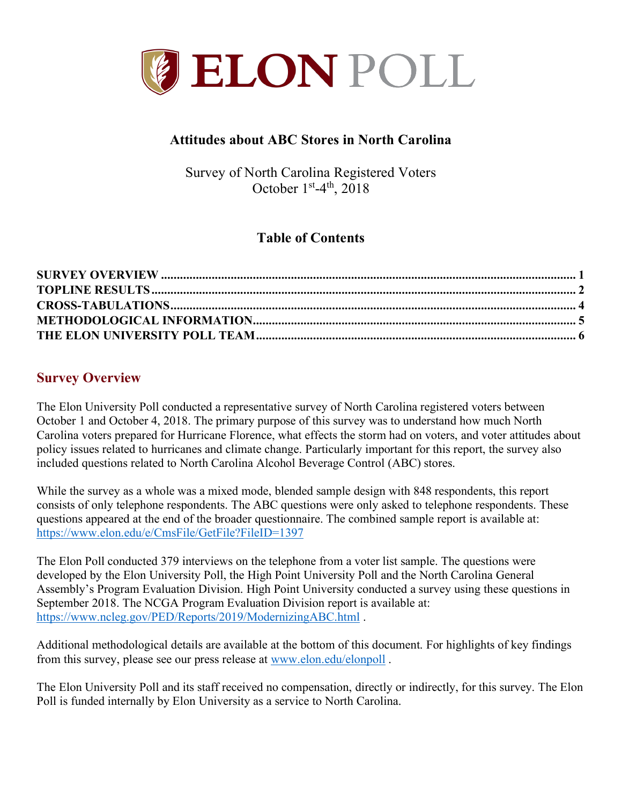

## **Attitudes about ABC Stores in North Carolina**

Survey of North Carolina Registered Voters October  $1<sup>st</sup>-4<sup>th</sup>$ , 2018

# **Table of Contents**

## **Survey Overview**

The Elon University Poll conducted a representative survey of North Carolina registered voters between October 1 and October 4, 2018. The primary purpose of this survey was to understand how much North Carolina voters prepared for Hurricane Florence, what effects the storm had on voters, and voter attitudes about policy issues related to hurricanes and climate change. Particularly important for this report, the survey also included questions related to North Carolina Alcohol Beverage Control (ABC) stores.

While the survey as a whole was a mixed mode, blended sample design with 848 respondents, this report consists of only telephone respondents. The ABC questions were only asked to telephone respondents. These questions appeared at the end of the broader questionnaire. The combined sample report is available at: https://www.elon.edu/e/CmsFile/GetFile?FileID=1397

The Elon Poll conducted 379 interviews on the telephone from a voter list sample. The questions were developed by the Elon University Poll, the High Point University Poll and the North Carolina General Assembly's Program Evaluation Division. High Point University conducted a survey using these questions in September 2018. The NCGA Program Evaluation Division report is available at: https://www.ncleg.gov/PED/Reports/2019/ModernizingABC.html .

Additional methodological details are available at the bottom of this document. For highlights of key findings from this survey, please see our press release at www.elon.edu/elonpoll .

The Elon University Poll and its staff received no compensation, directly or indirectly, for this survey. The Elon Poll is funded internally by Elon University as a service to North Carolina.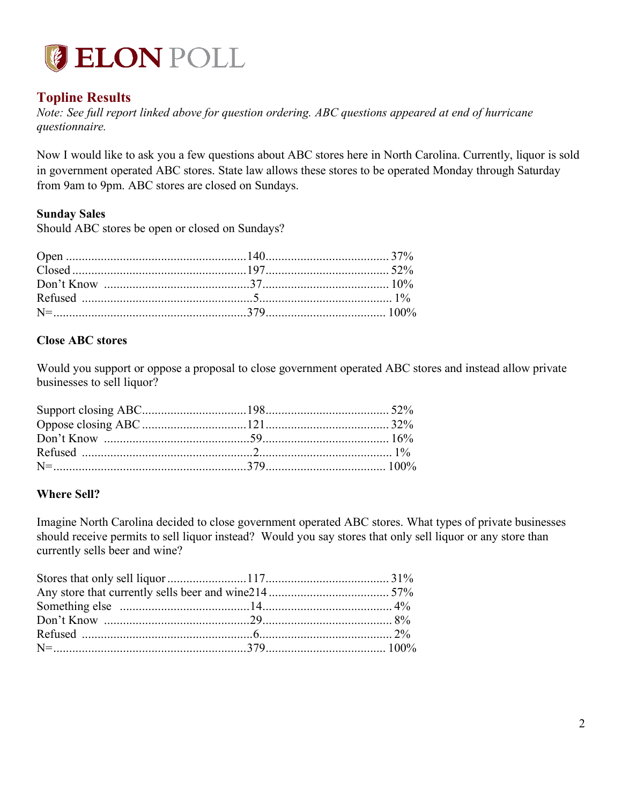

## **Topline Results**

*Note: See full report linked above for question ordering. ABC questions appeared at end of hurricane questionnaire.*

Now I would like to ask you a few questions about ABC stores here in North Carolina. Currently, liquor is sold in government operated ABC stores. State law allows these stores to be operated Monday through Saturday from 9am to 9pm. ABC stores are closed on Sundays.

#### **Sunday Sales**

Should ABC stores be open or closed on Sundays?

#### **Close ABC stores**

Would you support or oppose a proposal to close government operated ABC stores and instead allow private businesses to sell liquor?

#### **Where Sell?**

Imagine North Carolina decided to close government operated ABC stores. What types of private businesses should receive permits to sell liquor instead? Would you say stores that only sell liquor or any store than currently sells beer and wine?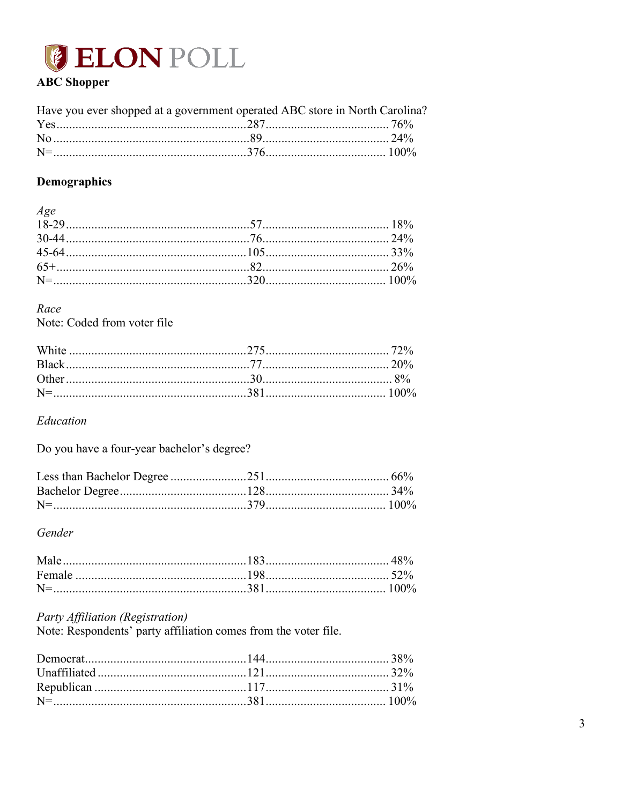

## **ABC** Shopper

| Have you ever shopped at a government operated ABC store in North Carolina? |  |
|-----------------------------------------------------------------------------|--|
|                                                                             |  |
|                                                                             |  |
|                                                                             |  |

## Demographics

| Age |  |
|-----|--|
|     |  |
|     |  |
|     |  |
|     |  |
|     |  |

#### Race

Note: Coded from voter file

Education

Do you have a four-year bachelor's degree?

#### Gender

| $N=$ |  |
|------|--|

## Party Affiliation (Registration)

Note: Respondents' party affiliation comes from the voter file.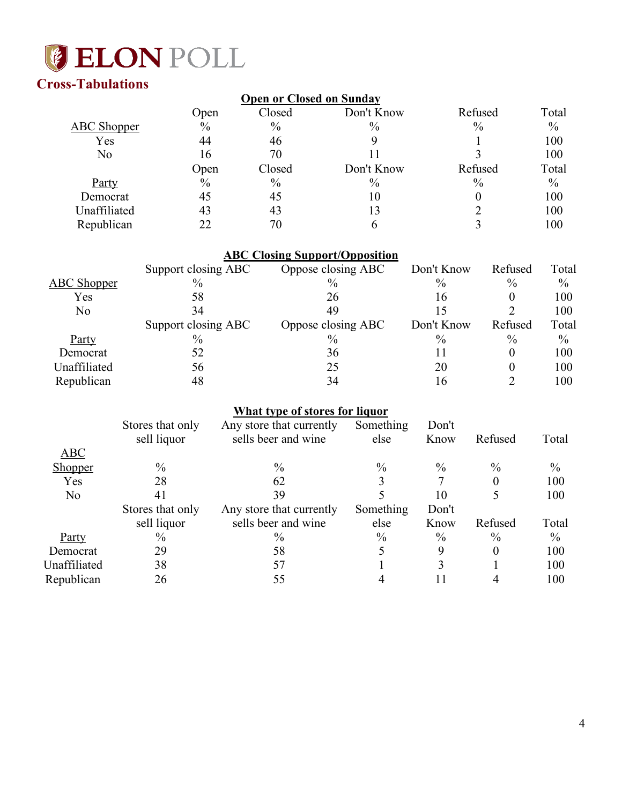

# **Cross-Tabulations**

| Open | Closed        | Don't Know    | Refused                         | Total         |
|------|---------------|---------------|---------------------------------|---------------|
| $\%$ | $\frac{0}{0}$ | $\frac{0}{0}$ | $\%$                            | $\frac{0}{0}$ |
| 44   | 46            |               |                                 | 100           |
| 16   | 70            |               |                                 | 100           |
| Open | Closed        | Don't Know    | Refused                         | Total         |
| $\%$ | $\%$          | $\frac{0}{0}$ | $\%$                            | $\frac{0}{0}$ |
| 45   | 45            | 10            |                                 | 100           |
| 43   | 43            | 13            |                                 | 100           |
| 22   | 70            |               |                                 | 100           |
|      |               |               | <b>Open or Closed on Sunday</b> |               |

|                    |                     | <b>ABC Closing Support/Opposition</b> |               |               |       |
|--------------------|---------------------|---------------------------------------|---------------|---------------|-------|
|                    | Support closing ABC | Oppose closing ABC                    | Don't Know    | Refused       | Total |
| <b>ABC</b> Shopper | $\frac{0}{0}$       | $\frac{0}{0}$                         | $\%$          | $\frac{0}{0}$ | $\%$  |
| Yes                | 58                  | 26                                    | 16            | 0             | 100   |
| No                 | 34                  | 49                                    | 15            |               | 100   |
|                    | Support closing ABC | Oppose closing ABC                    | Don't Know    | Refused       | Total |
| Party              | $\frac{0}{0}$       | $\%$                                  | $\frac{0}{0}$ | $\frac{0}{0}$ | $\%$  |
| Democrat           | 52                  | 36                                    | 11            | 0             | 100   |
| Unaffiliated       | 56                  | 25                                    | 20            | $\theta$      | 100   |
| Republican         | 48                  | 34                                    | 16            |               | 100   |

## **What type of stores for liquor**

| Something<br>Stores that only<br>Don't<br>Any store that currently<br>sells beer and wine<br>sell liquor<br>else<br>Know | Refused       | Total         |
|--------------------------------------------------------------------------------------------------------------------------|---------------|---------------|
| <b>ABC</b>                                                                                                               |               |               |
| $\%$<br>$\frac{0}{0}$<br>$\%$<br>$\%$<br><b>Shopper</b>                                                                  | $\%$          | $\frac{0}{0}$ |
| Yes<br>28<br>62                                                                                                          | 0             | 100           |
| N <sub>o</sub><br>39<br>10<br>41                                                                                         |               | 100           |
| Something<br>Stores that only<br>Any store that currently<br>Don't                                                       |               |               |
| sells beer and wine<br>else<br>sell liquor<br>Know                                                                       | Refused       | Total         |
| $\frac{0}{0}$<br>$\frac{0}{0}$<br>$\%$<br>$\%$<br><b>Party</b>                                                           | $\frac{0}{0}$ | $\frac{0}{0}$ |
| 29<br>58<br>9<br>Democrat                                                                                                | 0             | 100           |
|                                                                                                                          |               |               |
| Unaffiliated<br>38<br>3<br>57                                                                                            |               | 100           |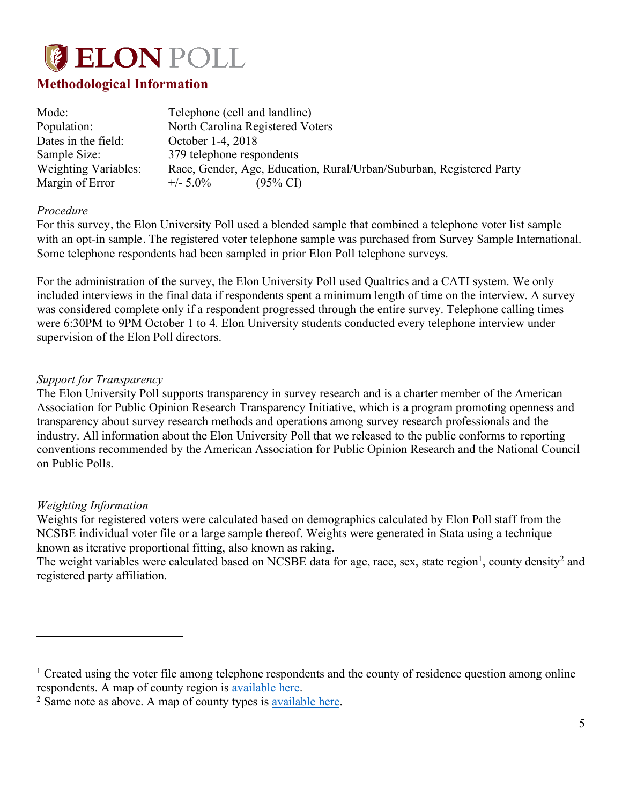

## **Methodological Information**

| Mode:                | Telephone (cell and landline)                                        |
|----------------------|----------------------------------------------------------------------|
| Population:          | North Carolina Registered Voters                                     |
| Dates in the field:  | October 1-4, 2018                                                    |
| Sample Size:         | 379 telephone respondents                                            |
| Weighting Variables: | Race, Gender, Age, Education, Rural/Urban/Suburban, Registered Party |
| Margin of Error      | $+/- 5.0\%$<br>$(95\% \text{ CI})$                                   |

#### *Procedure*

For this survey, the Elon University Poll used a blended sample that combined a telephone voter list sample with an opt-in sample. The registered voter telephone sample was purchased from Survey Sample International. Some telephone respondents had been sampled in prior Elon Poll telephone surveys.

For the administration of the survey, the Elon University Poll used Qualtrics and a CATI system. We only included interviews in the final data if respondents spent a minimum length of time on the interview. A survey was considered complete only if a respondent progressed through the entire survey. Telephone calling times were 6:30PM to 9PM October 1 to 4. Elon University students conducted every telephone interview under supervision of the Elon Poll directors.

#### *Support for Transparency*

The Elon University Poll supports transparency in survey research and is a charter member of the American Association for Public Opinion Research Transparency Initiative, which is a program promoting openness and transparency about survey research methods and operations among survey research professionals and the industry. All information about the Elon University Poll that we released to the public conforms to reporting conventions recommended by the American Association for Public Opinion Research and the National Council on Public Polls.

#### *Weighting Information*

 $\overline{a}$ 

Weights for registered voters were calculated based on demographics calculated by Elon Poll staff from the NCSBE individual voter file or a large sample thereof. Weights were generated in Stata using a technique known as iterative proportional fitting, also known as raking.

The weight variables were calculated based on NCSBE data for age, race, sex, state region<sup>1</sup>, county density<sup>2</sup> and registered party affiliation.

<sup>&</sup>lt;sup>1</sup> Created using the voter file among telephone respondents and the county of residence question among online respondents. A map of county region is available here.

<sup>2</sup> Same note as above. A map of county types is available here.